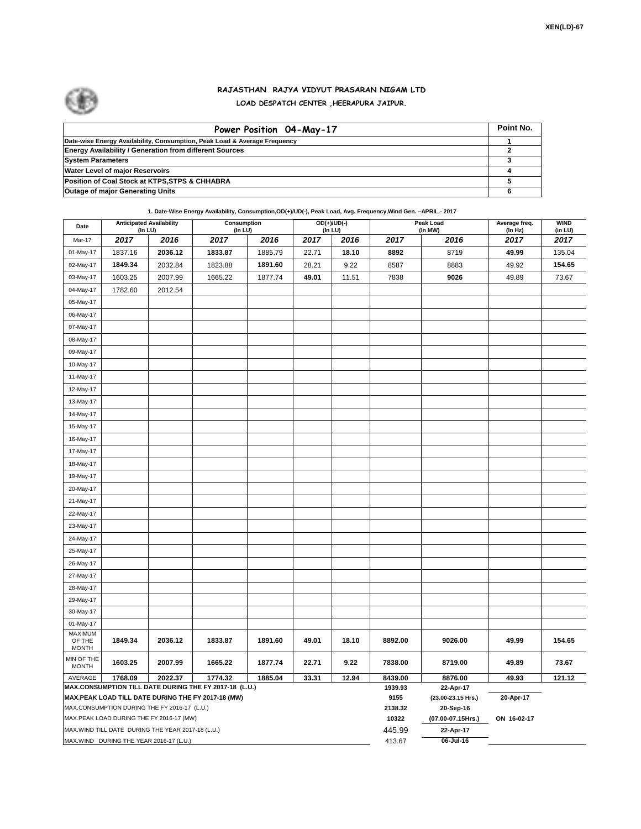

## **RAJASTHAN RAJYA VIDYUT PRASARAN NIGAM LTD LOAD DESPATCH CENTER ,HEERAPURA JAIPUR.**

| Power Position 04-May-17                                                  | Point No. |
|---------------------------------------------------------------------------|-----------|
| Date-wise Energy Availability, Consumption, Peak Load & Average Frequency |           |
| <b>Energy Availability / Generation from different Sources</b>            |           |
| <b>System Parameters</b>                                                  |           |
| <b>Water Level of major Reservoirs</b>                                    |           |
| Position of Coal Stock at KTPS, STPS & CHHABRA                            |           |
| <b>Outage of major Generating Units</b>                                   |           |

**1. Date-Wise Energy Availability, Consumption,OD(+)/UD(-), Peak Load, Avg. Frequency,Wind Gen. –APRIL.- 2017**

| Date                       | <b>Anticipated Availability</b><br>(In LU)                                               |         | Consumption<br>(In LU)                                 |         | OD(+)/UD(-)<br>(In LU) |       |                  | Peak Load<br>(In MW)           | Average freq.<br>(In Hz) | <b>WIND</b><br>(in LU) |  |  |
|----------------------------|------------------------------------------------------------------------------------------|---------|--------------------------------------------------------|---------|------------------------|-------|------------------|--------------------------------|--------------------------|------------------------|--|--|
| Mar-17                     | 2017                                                                                     | 2016    | 2017                                                   | 2016    | 2017                   | 2016  | 2017             | 2016                           | 2017                     | 2017                   |  |  |
| 01-May-17                  | 1837.16                                                                                  | 2036.12 | 1833.87                                                | 1885.79 | 22.71                  | 18.10 | 8892             | 8719                           | 49.99                    | 135.04                 |  |  |
| 02-May-17                  | 1849.34                                                                                  | 2032.84 | 1823.88                                                | 1891.60 | 28.21                  | 9.22  | 8587             | 8883                           | 49.92                    | 154.65                 |  |  |
| 03-May-17                  | 1603.25                                                                                  | 2007.99 | 1665.22                                                | 1877.74 | 49.01                  | 11.51 | 7838             | 9026                           | 49.89                    | 73.67                  |  |  |
| 04-May-17                  | 1782.60                                                                                  | 2012.54 |                                                        |         |                        |       |                  |                                |                          |                        |  |  |
| 05-May-17                  |                                                                                          |         |                                                        |         |                        |       |                  |                                |                          |                        |  |  |
| 06-May-17                  |                                                                                          |         |                                                        |         |                        |       |                  |                                |                          |                        |  |  |
| 07-May-17                  |                                                                                          |         |                                                        |         |                        |       |                  |                                |                          |                        |  |  |
| 08-May-17                  |                                                                                          |         |                                                        |         |                        |       |                  |                                |                          |                        |  |  |
| 09-May-17                  |                                                                                          |         |                                                        |         |                        |       |                  |                                |                          |                        |  |  |
| 10-May-17                  |                                                                                          |         |                                                        |         |                        |       |                  |                                |                          |                        |  |  |
| 11-May-17                  |                                                                                          |         |                                                        |         |                        |       |                  |                                |                          |                        |  |  |
| 12-May-17                  |                                                                                          |         |                                                        |         |                        |       |                  |                                |                          |                        |  |  |
| 13-May-17                  |                                                                                          |         |                                                        |         |                        |       |                  |                                |                          |                        |  |  |
| 14-May-17                  |                                                                                          |         |                                                        |         |                        |       |                  |                                |                          |                        |  |  |
| 15-May-17                  |                                                                                          |         |                                                        |         |                        |       |                  |                                |                          |                        |  |  |
| 16-May-17                  |                                                                                          |         |                                                        |         |                        |       |                  |                                |                          |                        |  |  |
| 17-May-17                  |                                                                                          |         |                                                        |         |                        |       |                  |                                |                          |                        |  |  |
| 18-May-17                  |                                                                                          |         |                                                        |         |                        |       |                  |                                |                          |                        |  |  |
| 19-May-17                  |                                                                                          |         |                                                        |         |                        |       |                  |                                |                          |                        |  |  |
| 20-May-17                  |                                                                                          |         |                                                        |         |                        |       |                  |                                |                          |                        |  |  |
| 21-May-17                  |                                                                                          |         |                                                        |         |                        |       |                  |                                |                          |                        |  |  |
| 22-May-17                  |                                                                                          |         |                                                        |         |                        |       |                  |                                |                          |                        |  |  |
| 23-May-17                  |                                                                                          |         |                                                        |         |                        |       |                  |                                |                          |                        |  |  |
| 24-May-17                  |                                                                                          |         |                                                        |         |                        |       |                  |                                |                          |                        |  |  |
| 25-May-17                  |                                                                                          |         |                                                        |         |                        |       |                  |                                |                          |                        |  |  |
| 26-May-17                  |                                                                                          |         |                                                        |         |                        |       |                  |                                |                          |                        |  |  |
| 27-May-17                  |                                                                                          |         |                                                        |         |                        |       |                  |                                |                          |                        |  |  |
| 28-May-17                  |                                                                                          |         |                                                        |         |                        |       |                  |                                |                          |                        |  |  |
| 29-May-17                  |                                                                                          |         |                                                        |         |                        |       |                  |                                |                          |                        |  |  |
| 30-May-17                  |                                                                                          |         |                                                        |         |                        |       |                  |                                |                          |                        |  |  |
| 01-May-17                  |                                                                                          |         |                                                        |         |                        |       |                  |                                |                          |                        |  |  |
| <b>MAXIMUM</b><br>OF THE   | 1849.34                                                                                  | 2036.12 | 1833.87                                                | 1891.60 | 49.01                  | 18.10 | 8892.00          | 9026.00                        | 49.99                    | 154.65                 |  |  |
| <b>MONTH</b>               |                                                                                          |         |                                                        |         |                        |       |                  |                                |                          |                        |  |  |
| MIN OF THE<br><b>MONTH</b> | 1603.25                                                                                  | 2007.99 | 1665.22                                                | 1877.74 | 22.71                  | 9.22  | 7838.00          | 8719.00                        | 49.89                    | 73.67                  |  |  |
| AVERAGE                    | 1768.09                                                                                  | 2022.37 | 1774.32                                                | 1885.04 | 33.31                  | 12.94 | 8439.00          | 8876.00                        | 49.93                    | 121.12                 |  |  |
|                            |                                                                                          |         | MAX.CONSUMPTION TILL DATE DURING THE FY 2017-18 (L.U.) |         |                        |       | 1939.93          | 22-Apr-17                      |                          |                        |  |  |
|                            |                                                                                          |         | MAX.PEAK LOAD TILL DATE DURING THE FY 2017-18 (MW)     |         |                        |       | 9155             | (23.00-23.15 Hrs.)             | 20-Apr-17                |                        |  |  |
|                            | MAX.CONSUMPTION DURING THE FY 2016-17 (L.U.)<br>MAX.PEAK LOAD DURING THE FY 2016-17 (MW) |         |                                                        |         |                        |       | 2138.32<br>10322 | 20-Sep-16<br>(07.00-07.15Hrs.) | ON 16-02-17              |                        |  |  |
|                            | MAX. WIND TILL DATE DURING THE YEAR 2017-18 (L.U.)                                       |         |                                                        |         |                        |       | 445.99           | 22-Apr-17                      |                          |                        |  |  |
|                            | MAX.WIND DURING THE YEAR 2016-17 (L.U.)                                                  |         |                                                        |         |                        |       | 413.67           | 06-Jul-16                      |                          |                        |  |  |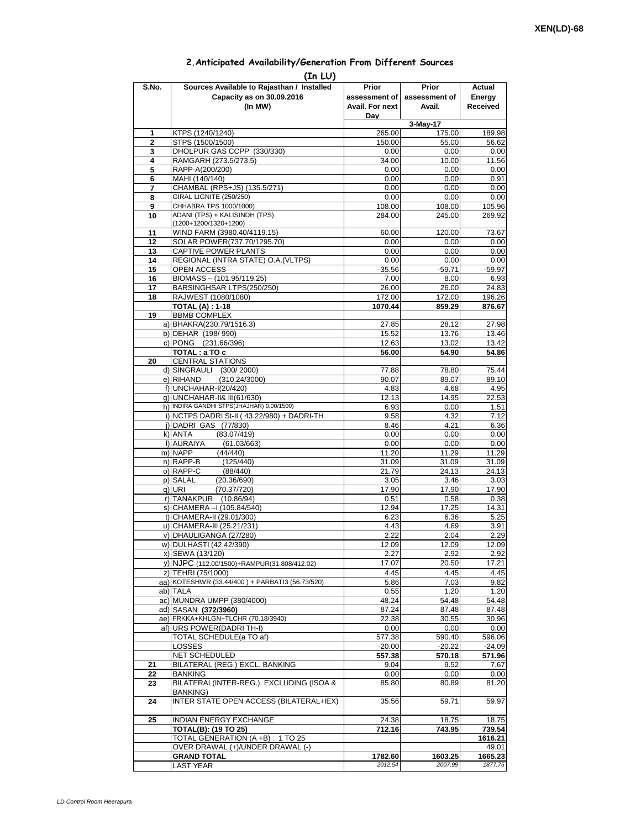## **2.Anticipated Availability/Generation From Different Sources**

|                     | (In LU)                                                                  |                                  |                         |                           |
|---------------------|--------------------------------------------------------------------------|----------------------------------|-------------------------|---------------------------|
| S.No.               | Sources Available to Rajasthan / Installed                               | Prior                            | Prior                   | Actual                    |
|                     | Capacity as on 30.09.2016<br>(In MW)                                     | assessment of<br>Avail. For next | assessment of<br>Avail. | Energy<br><b>Received</b> |
|                     |                                                                          | Day                              |                         |                           |
|                     |                                                                          |                                  | 3-May-17                |                           |
| 1<br>$\overline{2}$ | KTPS (1240/1240)<br>STPS (1500/1500)                                     | 265.00<br>150.00                 | 175.00<br>55.00         | 189.98<br>56.62           |
| 3                   | DHOLPUR GAS CCPP (330/330)                                               | 0.00                             | 0.00                    | 0.00                      |
| 4                   | RAMGARH (273.5/273.5)                                                    | 34.00                            | 10.00                   | 11.56                     |
| 5                   | RAPP-A(200/200)                                                          | 0.00                             | 0.00                    | 0.00                      |
| 6<br>7              | MAHI (140/140)<br>CHAMBAL (RPS+JS) (135.5/271)                           | 0.00<br>0.00                     | 0.00<br>0.00            | 0.91<br>0.00              |
| 8                   | <b>GIRAL LIGNITE (250/250)</b>                                           | 0.00                             | 0.00                    | 0.00                      |
| 9                   | CHHABRA TPS 1000/1000)                                                   | 108.00                           | 108.00                  | 105.96                    |
| 10                  | ADANI (TPS) + KALISINDH (TPS)<br>(1200+1200/1320+1200)                   | 284.00                           | 245.00                  | 269.92                    |
| 11                  | WIND FARM (3980.40/4119.15)                                              | 60.00                            | 120.00                  | 73.67                     |
| 12                  | SOLAR POWER(737.70/1295.70)                                              | 0.00                             | 0.00                    | 0.00                      |
| 13                  | CAPTIVE POWER PLANTS                                                     | 0.00                             | 0.00                    | 0.00                      |
| 14<br>15            | REGIONAL (INTRA STATE) O.A. (VLTPS)<br>OPEN ACCESS                       | 0.00<br>$-35.56$                 | 0.00<br>$-59.71$        | 0.00<br>$-59.97$          |
| 16                  | BIOMASS - (101.95/119.25)                                                | 7.00                             | 8.00                    | 6.93                      |
| 17                  | BARSINGHSAR LTPS(250/250)                                                | 26.00                            | 26.00                   | 24.83                     |
| 18                  | RAJWEST (1080/1080)                                                      | 172.00                           | 172.00                  | 196.26                    |
| 19                  | <b>TOTAL (A): 1-18</b><br><b>BBMB COMPLEX</b>                            | 1070.44                          | 859.29                  | 876.67                    |
|                     | a) BHAKRA(230.79/1516.3)                                                 | 27.85                            | 28.12                   | 27.98                     |
|                     | b) DEHAR (198/990)                                                       | 15.52                            | 13.76                   | 13.46                     |
|                     | c) PONG (231.66/396)                                                     | 12.63                            | 13.02                   | 13.42                     |
|                     | TOTAL: a TO c                                                            | 56.00                            | 54.90                   | 54.86                     |
| 20                  | <b>CENTRAL STATIONS</b><br>d) SINGRAULI (300/2000)                       | 77.88                            | 78.80                   | 75.44                     |
|                     | e) RIHAND<br>(310.24/3000)                                               | 90.07                            | 89.07                   | 89.10                     |
|                     | f) UNCHAHAR-I(20/420)                                                    | 4.83                             | 4.68                    | 4.95                      |
|                     | g) UNCHAHAR-II& III(61/630)<br>h) INDIRA GANDHI STPS(JHAJHAR) 0.00/1500) | 12.13                            | 14.95                   | 22.53                     |
|                     | i) NCTPS DADRI St-II (43.22/980) + DADRI-TH                              | 6.93<br>9.58                     | 0.00<br>4.32            | 1.51<br>7.12              |
|                     | j) DADRI GAS (77/830)                                                    | 8.46                             | 4.21                    | 6.36                      |
|                     | k) ANTA<br>(83.07/419)                                                   | 0.00                             | 0.00                    | 0.00                      |
|                     | I) AURAIYA<br>(61.03/663)                                                | 0.00                             | 0.00                    | 0.00                      |
|                     | m) NAPP<br>(44/440)<br>n) RAPP-B<br>(125/440)                            | 11.20<br>31.09                   | 11.29<br>31.09          | 11.29<br>31.09            |
|                     | o) RAPP-C<br>(88/440)                                                    | 21.79                            | 24.13                   | 24.13                     |
|                     | p) SALAL<br>(20.36/690)                                                  | 3.05                             | 3.46                    | 3.03                      |
|                     | (70.37/720)<br>q) URI                                                    | 17.90                            | 17.90                   | 17.90                     |
|                     | r) TANAKPUR (10.86/94)<br>s) CHAMERA - (105.84/540)                      | 0.51<br>12.94                    | 0.58<br>17.25           | 0.38<br>14.31             |
|                     | t) CHAMERA-II (29.01/300)                                                | 6.23                             | 6.36                    | 5.25                      |
|                     | u) CHAMERA-III (25.21/231)                                               | 4.43                             | 4.69                    | 3.91                      |
|                     | v) DHAULIGANGA (27/280)                                                  | 2.22                             | 2.04                    | 2.29                      |
|                     | w) DULHASTI (42.42/390)<br>x) SEWA (13/120)                              | 12.09<br>2.27                    | 12.09<br>2.92           | 12.09<br>2.92             |
|                     | y) NJPC (112.00/1500)+RAMPUR(31.808/412.02)                              | 17.07                            | 20.50                   | 17.21                     |
|                     | z) TEHRI (75/1000)                                                       | 4.45                             | 4.45                    | 4.45                      |
|                     | aa) KOTESHWR (33.44/400) + PARBATI3 (56.73/520)                          | 5.86                             | 7.03                    | 9.82                      |
|                     | ab) TALA                                                                 | 0.55                             | 1.20                    | 1.20                      |
|                     | ac) MUNDRA UMPP (380/4000)<br>ad) SASAN (372/3960)                       | 48.24<br>87.24                   | 54.48<br>87.48          | 54.48<br>87.48            |
|                     | ae) FRKKA+KHLGN+TLCHR (70.18/3940)                                       | 22.38                            | 30.55                   | 30.96                     |
|                     | af) URS POWER (DADRI TH-I)                                               | 0.00                             | 0.00                    | 0.00                      |
|                     | TOTAL SCHEDULE(a TO af)                                                  | 577.38                           | 590.40                  | 596.06                    |
|                     | <b>LOSSES</b><br>NET SCHEDULED                                           | $-20.00$<br>557.38               | $-20.22$<br>570.18      | $-24.09$<br>571.96        |
| 21                  | BILATERAL (REG.) EXCL. BANKING                                           | 9.04                             | 9.52                    | 7.67                      |
| 22                  | <b>BANKING</b>                                                           | 0.00                             | 0.00                    | 0.00                      |
| 23                  | BILATERAL(INTER-REG.). EXCLUDING (ISOA &                                 | 85.80                            | 80.89                   | 81.20                     |
| 24                  | <b>BANKING)</b><br>INTER STATE OPEN ACCESS (BILATERAL+IEX)               | 35.56                            | 59.71                   | 59.97                     |
| 25                  | <b>INDIAN ENERGY EXCHANGE</b>                                            | 24.38                            | 18.75                   | 18.75                     |
|                     | <b>TOTAL(B): (19 TO 25)</b>                                              | 712.16                           | 743.95                  | 739.54                    |
|                     | TOTAL GENERATION (A +B) : 1 TO 25                                        |                                  |                         | 1616.21                   |
|                     | OVER DRAWAL (+)/UNDER DRAWAL (-)                                         |                                  |                         | 49.01                     |
|                     | <b>GRAND TOTAL</b><br><b>LAST YEAR</b>                                   | 1782.60<br>2012.54               | 1603.25<br>2007.99      | 1665.23<br>1877.75        |
|                     |                                                                          |                                  |                         |                           |